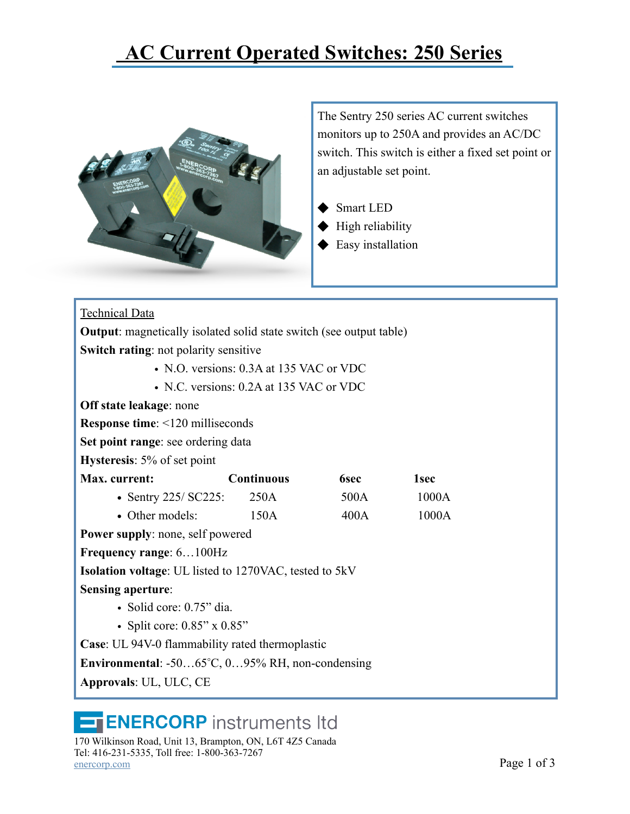## **[AC Current Operated Switches: 250 Series](https://enercorp.com/products/current/?filter_current=current-switch)**



The Sentry 250 series AC current switches monitors up to 250A and provides an AC/DC switch. This switch is either a fixed set point or an adjustable set point.

- **Smart LED**
- High reliability
- ◆ Easy installation

| <b>Technical Data</b>                                                      |                   |             |                  |  |  |  |
|----------------------------------------------------------------------------|-------------------|-------------|------------------|--|--|--|
| <b>Output:</b> magnetically isolated solid state switch (see output table) |                   |             |                  |  |  |  |
| <b>Switch rating:</b> not polarity sensitive                               |                   |             |                  |  |  |  |
| • N.O. versions: 0.3A at 135 VAC or VDC                                    |                   |             |                  |  |  |  |
| • N.C. versions: $0.2A$ at 135 VAC or VDC                                  |                   |             |                  |  |  |  |
| Off state leakage: none                                                    |                   |             |                  |  |  |  |
| <b>Response time:</b> <120 milliseconds                                    |                   |             |                  |  |  |  |
| Set point range: see ordering data                                         |                   |             |                  |  |  |  |
| <b>Hysteresis</b> : 5% of set point                                        |                   |             |                  |  |  |  |
| Max. current:                                                              | <b>Continuous</b> | <b>6sec</b> | 1 <sub>sec</sub> |  |  |  |
| • Sentry $225/$ SC225:                                                     | 250A              | 500A        | 1000A            |  |  |  |
| • Other models:                                                            | 150A              | 400A        | 1000A            |  |  |  |
| <b>Power supply:</b> none, self powered                                    |                   |             |                  |  |  |  |
| Frequency range: 6100Hz                                                    |                   |             |                  |  |  |  |
| <b>Isolation voltage:</b> UL listed to 1270VAC, tested to 5kV              |                   |             |                  |  |  |  |
| <b>Sensing aperture:</b>                                                   |                   |             |                  |  |  |  |
| • Solid core: $0.75$ " dia.                                                |                   |             |                  |  |  |  |
| • Split core: $0.85$ " x $0.85$ "                                          |                   |             |                  |  |  |  |
| <b>Case:</b> UL 94V-0 flammability rated thermoplastic                     |                   |             |                  |  |  |  |
| <b>Environmental:</b> -5065°C, 095% RH, non-condensing                     |                   |             |                  |  |  |  |
| Approvals: UL, ULC, CE                                                     |                   |             |                  |  |  |  |

## **ENERCORP** instruments Itd

170 Wilkinson Road, Unit 13, Brampton, ON, L6T 4Z5 Canada Tel: 416-231-5335, Toll free: 1-800-363-7267  $\frac{\text{energy.com}}{2}$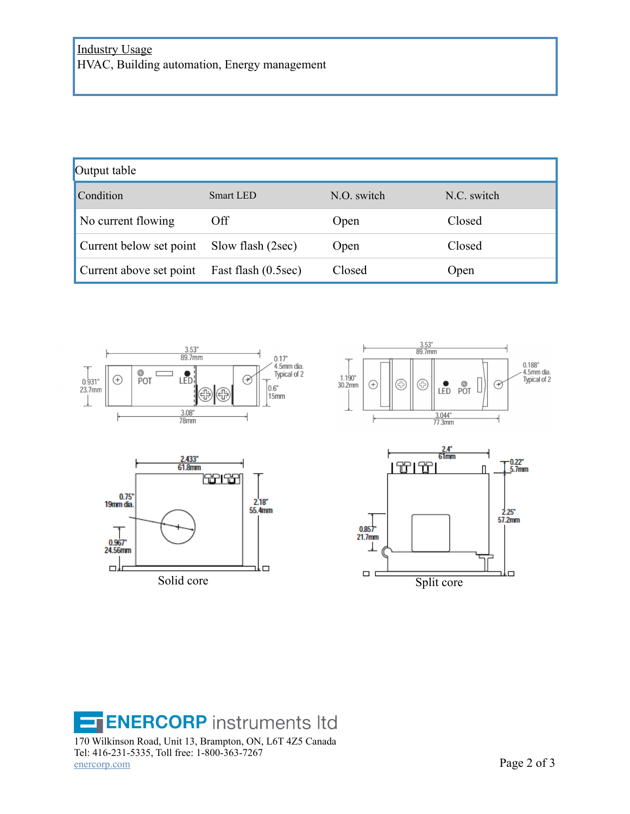| Output table                                |                   |                    |             |  |  |
|---------------------------------------------|-------------------|--------------------|-------------|--|--|
| Condition                                   | Smart LED         | $N_{\rm 0}$ switch | N.C. switch |  |  |
| No current flowing                          | Off               | Open               | Closed      |  |  |
| Current below set point                     | Slow flash (2sec) | Open               | Closed      |  |  |
| Current above set point Fast flash (0.5sec) |                   | Closed             | Open        |  |  |



**ENERCORP** instruments Itd E 170 Wilkinson Road, Unit 13, Brampton, ON, L6T 4Z5 Canada Tel: 416-231-5335, Toll free: 1-800-363-7267  $\frac{\text{energy.com}}{20}$